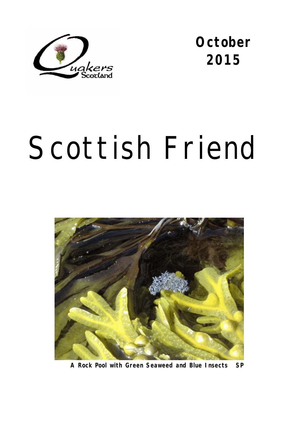

**October 2015** 

# Scottish Friend



**A Rock Pool with Green Seaweed and Blue Insects SP**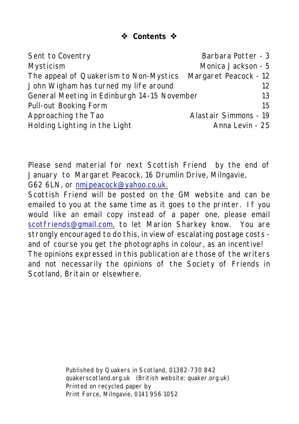**Contents** 

| Sent to Coventry                                             | Barbara Potter - 3    |
|--------------------------------------------------------------|-----------------------|
| Mysticism                                                    | Monica Jackson - 5    |
| The appeal of Quakerism to Non-Mystics Margaret Peacock - 12 |                       |
| John Wigham has turned my life around                        | 12                    |
| General Meeting in Edinburgh 14-15 November                  | 13                    |
| Pull-out Booking Form                                        | 15                    |
| Approaching the Tao                                          | Alastair Simmons - 19 |
| Holding Lighting in the Light                                | Anna Levin - 25       |

Please send material for next *Scottish Friend* by the end of January to Margaret Peacock, 16 Drumlin Drive, Milngavie, G62 6LN, or [nmjpeacock@yahoo.co.uk.](mailto:nmjpeacock@yahoo.co.uk.)

*Scottish Friend* will be posted on the GM website and can be emailed to you at the same time as it goes to the printer. If you would like an email copy instead of a paper one, please email [scotfriends@gmail.com,](mailto:scotfriends@aol.com,) to let Marion Sharkey know. You are strongly encouraged to do this, in view of escalating postage costs and of course you get the photographs in colour, as an incentive! The opinions expressed in this publication are those of the writers and not necessarily the opinions of the Society of Friends in Scotland, Britain or elsewhere.

> Published by Quakers in Scotland, 01382-730 842 quakerscotland.org.uk (British website: quaker.org.uk) Printed on recycled paper by Print Force, Milngavie, 0141 956 1052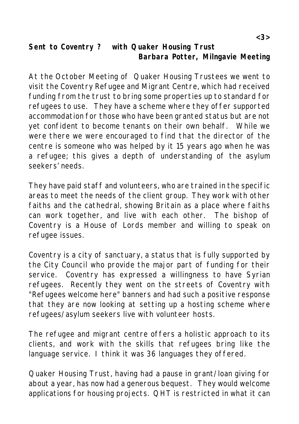**Sent to Coventry ? with Quaker Housing Trust Barbara Potter, Milngavie Meeting**

At the October Meeting of Quaker Housing Trustees we went to visit the Coventry Refugee and Migrant Centre, which had received funding from the trust to bring some properties up to standard for refugees to use. They have a scheme where they offer supported accommodation for those who have been granted status but are not yet confident to become tenants on their own behalf. While we were there we were encouraged to find that the director of the centre is someone who was helped by it 15 years ago when he was a refugee; this gives a depth of understanding of the asylum seekers' needs.

They have paid staff and volunteers, who are trained in the specific areas to meet the needs of the client group. They work with other faiths and the cathedral, showing Britain as a place where faiths can work together, and live with each other. The bishop of Coventry is a House of Lords member and willing to speak on refugee issues.

Coventry is a city of sanctuary, a status that is fully supported by the City Council who provide the major part of funding for their service. Coventry has expressed a willingness to have Syrian refugees. Recently they went on the streets of Coventry with "Refugees welcome here" banners and had such a positive response that they are now looking at setting up a hosting scheme where refugees/asylum seekers live with volunteer hosts.

The refugee and migrant centre offers a holistic approach to its clients, and work with the skills that refugees bring like the language service. I think it was 36 languages they offered.

Quaker Housing Trust, having had a pause in grant/loan giving for about a year, has now had a generous bequest. They would welcome applications for housing projects. QHT is restricted in what it can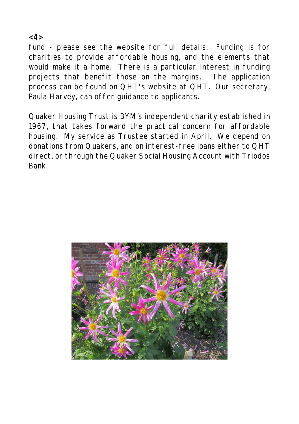**<4>**

fund - please see the website for full details. Funding is for charities to provide affordable housing, and the elements that would make it a home. There is a particular interest in funding projects that benefit those on the margins. The application process can be found on QHT's website at QHT. Our secretary, Paula Harvey, can offer guidance to applicants.

Quaker Housing Trust is BYM's independent charity established in 1967, that takes forward the practical concern for affordable housing. My service as Trustee started in April. We depend on donations from Quakers, and on interest-free loans either to QHT direct, or through the Quaker Social Housing Account with Triodos Bank.

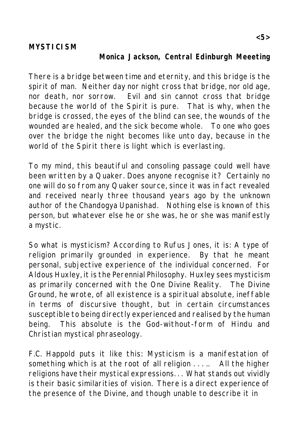# **Monica Jackson, Central Edinburgh Meeeting**

There is a bridge between time and eternity, and this bridge is the spirit of man. Neither day nor night cross that bridge, nor old age, nor death, nor sorrow. Evil and sin cannot cross that bridge because the world of the Spirit is pure. That is why, when the bridge is crossed, the eyes of the blind can see, the wounds of the wounded are healed, and the sick become whole. To one who goes over the bridge the night becomes like unto day, because in the world of the Spirit there is light which is everlasting.

To my mind, this beautiful and consoling passage could well have been written by a Quaker. Does anyone recognise it? Certainly no one will do so from any Quaker source, since it was in fact revealed and received nearly three thousand years ago by the unknown author of the Chandogya Upanishad. Nothing else is known of this person, but whatever else he or she was, he or she was manifestly a mystic.

So what is mysticism? According to Rufus Jones, it is: A type of religion primarily grounded in experience. By that he meant personal, subjective experience of the individual concerned. For Aldous Huxley, it is the Perennial Philosophy. Huxley sees mysticism as primarily concerned with the One Divine Reality. The Divine Ground, he wrote, of all existence is a spiritual absolute, ineffable in terms of discursive thought, but in certain circumstances susceptible to being directly experienced and realised by the human being. This absolute is the God-without-form of Hindu and Christian mystical phraseology.

F.C. Happold puts it like this: Mysticism is a manifestation of something which is at the root of all religion . . . .. All the higher religions have their mystical expressions. . . What stands out vividly is their basic similarities of vision. There is a direct experience of the presence of the Divine, and though unable to describe it in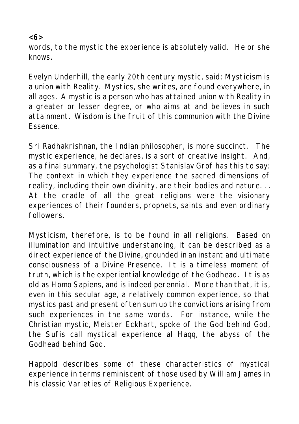words, to the mystic the experience is absolutely valid. He or she knows.

Evelyn Underhill, the early 20th century mystic, said: Mysticism is a union with Reality. Mystics, she writes, are found everywhere, in all ages. A mystic is a person who has attained union with Reality in a greater or lesser degree, or who aims at and believes in such attainment. Wisdom is the fruit of this communion with the Divine Essence.

Sri Radhakrishnan, the Indian philosopher, is more succinct. The mystic experience, he declares, is a sort of creative insight. And, as a final summary, the psychologist Stanislav Grof has this to say: The context in which they experience the sacred dimensions of reality, including their own divinity, are their bodies and nature. . . At the cradle of all the great religions were the visionary experiences of their founders, prophets, saints and even ordinary followers.

Mysticism, therefore, is to be found in all religions. Based on illumination and intuitive understanding, it can be described as a direct experience of the Divine, grounded in an instant and ultimate consciousness of a Divine Presence. It is a timeless moment of truth, which is the experiential knowledge of the Godhead. It is as old as Homo Sapiens, and is indeed perennial. More than that, it is, even in this secular age, a relatively common experience, so that mystics past and present often sum up the convictions arising from such experiences in the same words. For instance, while the Christian mystic, Meister Eckhart, spoke of the God behind God, the Sufis call mystical experience al Haqq, the abyss of the Godhead behind God.

Happold describes some of these characteristics of mystical experience in terms reminiscent of those used by William James in his classic Varieties of Religious Experience.

**<6>**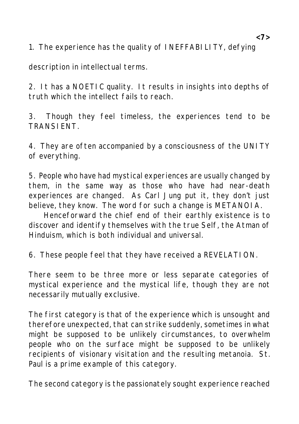1. The experience has the quality of INEFFABILITY, defying

description in intellectual terms.

2. It has a NOETIC quality. It results in insights into depths of truth which the intellect fails to reach.

3. Though they feel timeless, the experiences tend to be TRANSIENT.

4. They are often accompanied by a consciousness of the UNITY of everything.

5. People who have had mystical experiences are usually changed by them, in the same way as those who have had near-death experiences are changed. As Carl Jung put it, they don't just believe, they know. The word for such a change is METANOIA.

 Henceforward the chief end of their earthly existence is to discover and identify themselves with the true Self, the Atman of Hinduism, which is both individual and universal.

6. These people feel that they have received a REVELATION.

There seem to be three more or less separate categories of mystical experience and the mystical life, though they are not necessarily mutually exclusive.

The first category is that of the experience which is unsought and therefore unexpected, that can strike suddenly, sometimes in what might be supposed to be unlikely circumstances, to overwhelm people who on the surface might be supposed to be unlikely recipients of visionary visitation and the resulting metanoia. St. Paul is a prime example of this category.

The second category is the passionately sought experience reached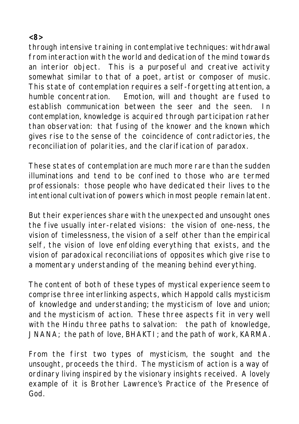#### **<8>**

through intensive training in contemplative techniques: withdrawal from interaction with the world and dedication of the mind towards an interior object. This is a purposeful and creative activity somewhat similar to that of a poet, artist or composer of music. This state of contemplation requires a self-forgetting attention, a humble concentration. Emotion, will and thought are fused to establish communication between the seer and the seen. In contemplation, knowledge is acquired through participation rather than observation: that fusing of the knower and the known which gives rise to the sense of the coincidence of contradictories, the reconciliation of polarities, and the clarification of paradox.

These states of contemplation are much more rare than the sudden illuminations and tend to be confined to those who are termed professionals: those people who have dedicated their lives to the intentional cultivation of powers which in most people remain latent.

But their experiences share with the unexpected and unsought ones the five usually inter-related visions: the vision of one-ness, the vision of timelessness, the vision of a self other than the empirical self, the vision of love enfolding everything that exists, and the vision of paradoxical reconciliations of opposites which give rise to a momentary understanding of the meaning behind everything.

The content of both of these types of mystical experience seem to comprise three interlinking aspects, which Happold calls mysticism of knowledge and understanding; the mysticism of love and union; and the mysticism of action. These three aspects fit in very well with the Hindu three paths to salvation: the path of knowledge, JNANA; the path of love, BHAKTI; and the path of work, KARMA.

From the first two types of mysticism, the sought and the unsought, proceeds the third. The mysticism of action is a way of ordinary living inspired by the visionary insights received. A lovely example of it is Brother Lawrence's Practice of the Presence of God.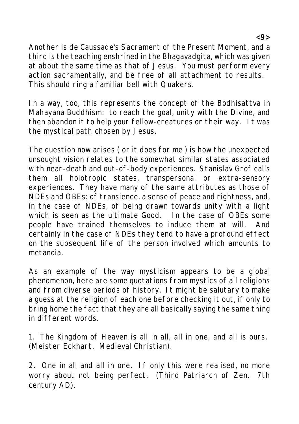Another is de Caussade's Sacrament of the Present Moment, and a third is the teaching enshrined in the Bhagavadgita, which was given at about the same time as that of Jesus. You must perform every action sacramentally, and be free of all attachment to results. This should ring a familiar bell with Quakers.

In a way, too, this represents the concept of the Bodhisattva in Mahayana Buddhism: to reach the goal, unity with the Divine, and then abandon it to help your fellow-creatures on their way. It was the mystical path chosen by Jesus.

The question now arises ( or it does for me ) is how the unexpected unsought vision relates to the somewhat similar states associated with near-death and out-of-body experiences. Stanislav Grof calls them all holotropic states, transpersonal or extra-sensory experiences. They have many of the same attributes as those of NDEs and OBEs: of transience, a sense of peace and rightness, and, in the case of NDEs, of being drawn towards unity with a light which is seen as the ultimate Good. In the case of OBEs some people have trained themselves to induce them at will. And certainly in the case of NDEs they tend to have a profound effect on the subsequent life of the person involved which amounts to metanoia.

As an example of the way mysticism appears to be a global phenomenon, here are some quotations from mystics of all religions and from diverse periods of history. It might be salutary to make a guess at the religion of each one before checking it out, if only to bring home the fact that they are all basically saying the same thing in different words.

1. The Kingdom of Heaven is all in all, all in one, and all is ours. (Meister Eckhart, Medieval Christian).

2. One in all and all in one. If only this were realised, no more worry about not being perfect. (Third Patriarch of Zen. 7th century AD).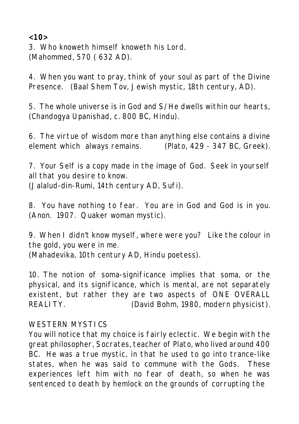**<10>**

3. Who knoweth himself knoweth his Lord. (Mahommed, 570 ( 632 AD).

4. When you want to pray, think of your soul as part of the Divine Presence. (Baal Shem Tov, Jewish mystic, 18th century, AD).

5. The whole universe is in God and S/He dwells within our hearts, (Chandogya Upanishad, c. 800 BC, Hindu).

6. The virtue of wisdom more than anything else contains a divine element which always remains. (Plato, 429 - 347 BC, Greek).

7. Your Self is a copy made in the image of God. Seek in yourself all that you desire to know. (Jalalud-din-Rumi, 14th century AD, Sufi).

8. You have nothing to fear. You are in God and God is in you. (Anon. 1907. Quaker woman mystic).

9. When I didn't know myself, where were you? Like the colour in the gold, you were in me. (Mahadevika, 10th century AD, Hindu poetess).

10. The notion of soma-significance implies that soma, or the physical, and its significance, which is mental, are not separately existent, but rather they are two aspects of ONE OVERALL REALITY. (David Bohm, 1980, modern physicist).

# WESTERN MYSTICS

You will notice that my choice is fairly eclectic. We begin with the great philosopher, Socrates, teacher of Plato, who lived around 400 BC. He was a true mystic, in that he used to go into trance-like states, when he was said to commune with the Gods. These experiences left him with no fear of death, so when he was sentenced to death by hemlock on the grounds of corrupting the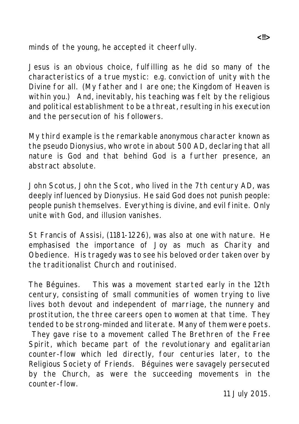minds of the young, he accepted it cheerfully.

Jesus is an obvious choice, fulfilling as he did so many of the characteristics of a true mystic: e.g. conviction of unity with the Divine for all. (My father and I are one; the Kingdom of Heaven is within you.) And, inevitably, his teaching was felt by the religious and political establishment to be a threat, resulting in his execution and the persecution of his followers.

My third example is the remarkable anonymous character known as the pseudo Dionysius, who wrote in about 500 AD, declaring that all nature is God and that behind God is a further presence, an abstract absolute.

John Scotus, John the Scot, who lived in the 7th century AD, was deeply influenced by Dionysius. He said God does not punish people: people punish themselves. Everything is divine, and evil finite. Only unite with God, and illusion vanishes.

St Francis of Assisi, (1181-1226), was also at one with nature. He emphasised the importance of Joy as much as Charity and Obedience. His tragedy was to see his beloved order taken over by the traditionalist Church and routinised.

The Béguines. This was a movement started early in the 12th century, consisting of small communities of women trying to live lives both devout and independent of marriage, the nunnery and prostitution, the three careers open to women at that time. They tended to be strong-minded and literate. Many of them were poets.

 They gave rise to a movement called The Brethren of the Free Spirit, which became part of the revolutionary and egalitarian counter-flow which led directly, four centuries later, to the Religious Society of Friends. Béguines were savagely persecuted by the Church, as were the succeeding movements in the counter-flow.

11 July 2015.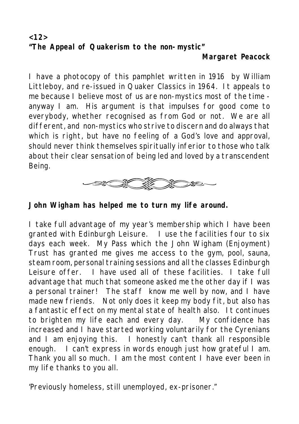**<12> "The Appeal of Quakerism to the non-mystic"**

**Margaret Peacock**

I have a photocopy of this pamphlet written in 1916 by William Littleboy, and re-issued in Quaker Classics in 1964. It appeals to me because I believe most of us are non-mystics most of the time anyway I am. His argument is that impulses for good come to everybody, whether recognised as from God or not. We are all different, and non-mystics who strive to discern and do always that which is right, but have no feeling of a God's love and approval, should never think themselves spiritually inferior to those who talk about their clear sensation of being led and loved by a transcendent Being.



**John Wigham has helped me to turn my life around.**

I take full advantage of my year's membership which I have been granted with Edinburgh Leisure. I use the facilities four to six days each week. My Pass which the John Wigham (Enjoyment) Trust has granted me gives me access to the gym, pool, sauna, steam room, personal training sessions and all the classes Edinburgh Leisure offer. I have used all of these facilities. I take full advantage that much that someone asked me the other day if I was a personal trainer! The staff know me well by now, and I have made new friends. Not only does it keep my body fit, but also has a fantastic effect on my mental state of health also. It continues to brighten my life each and every day. My confidence has increased and I have started working voluntarily for the Cyrenians and I am enjoying this. I honestly can't thank all responsible enough. I can't express in words enough just how grateful I am. Thank you all so much. I am the most content I have ever been in my life thanks to you all.

'Previously homeless, still unemployed, ex-prisoner."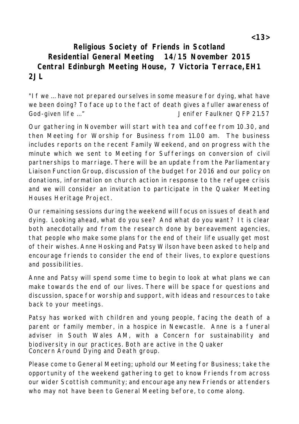**Religious Society of Friends in Scotland Residential General Meeting 14/15 November 2015 Central Edinburgh Meeting House, 7 Victoria Terrace,EH1 2JL**

*"If we ... have not prepared ourselves in some measure for dying, what have we been doing? To face up to the fact of death gives a fuller awareness of God-given life ..." Jenifer Faulkner* QFP 21.57

Our gathering in November will start with tea and coffee from 10.30, and then Meeting for Worship for Business from 11.00 am. The business includes reports on the recent Family Weekend, and on progress with the minute which we sent to Meeting for Sufferings on conversion of civil partnerships to marriage. There will be an update from the Parliamentary Liaison Function Group, discussion of the budget for 2016 and our policy on donations, information on church action in response to the refugee crisis and we will consider an invitation to participate in the Quaker Meeting Houses Heritage Project.

Our remaining sessions during the weekend will focus on issues of death and dying. Looking ahead, what do you see? And what do you want? It is clear both anecdotally and from the research done by bereavement agencies, that people who make some plans for the end of their life usually get most of their wishes. Anne Hosking and Patsy Wilson have been asked to help and encourage friends to consider the end of their lives, to explore questions and possibilities.

Anne and Patsy will spend some time to begin to look at what plans we can make towards the end of our lives. There will be space for questions and discussion, space for worship and support, with ideas and resources to take back to your meetings.

Patsy has worked with children and young people, facing the death of a parent or family member, in a hospice in Newcastle. Anne is a funeral adviser in South Wales AM, with a Concern for sustainability and biodiversity in our practices. Both are active in the Quaker Concern Around Dying and Death group.

Please come to General Meeting; uphold our Meeting for Business; take the opportunity of the weekend gathering to get to know Friends from across our wider Scottish community; and encourage any new Friends or attenders who may not have been to General Meeting before, to come along.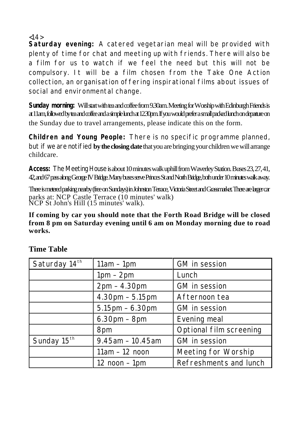$14$ 

**Saturday evening:** A catered vegetarian meal will be provided with plenty of time for chat and meeting up with friends. There will also be a film for us to watch if we feel the need but this will not be compulsory. It will be a film chosen from the Take One Action collection, an organisation offering inspirational films about issues of social and environmental change.

**Sunday morning:** Will start with tea and coffee from 9.30am. Meeting for Worship with Edinburgh Friends is at 11am, followed by tea and coffee and a simple lunch at 12.30pm. If you would prefer a small packed lunch on departure on the Sunday due to travel arrangements, please indicate this on the form.

**Children and Young People:** There is no specific programme planned, but if we are notified **by the closing date**that you are bringing your children we will arrange childcare.

**Access:** The Meeting House is about 10 minutes walk uphill from Waverley Station. Buses 23, 27, 41, 42, and 67 pass along George IV Bridge. Many buses serve Princes St and North Bridge, both under 10 minutes walk away.

There is metered parking nearby (free on Sundays) in Johnston Terrace, Victoria Street and Grassmarket. There are larger car parks at: NCP Castle Terrace (10 minutes' walk) NCP St John's Hill (15 minutes' walk).

**If coming by car you should note that the Forth Road Bridge will be closed from 8 pm on Saturday evening until 6 am on Monday morning due to road works.**

| Saturday 14 <sup>th</sup> | $11am - 1pm$          | GM in session           |
|---------------------------|-----------------------|-------------------------|
|                           | $1pm - 2pm$           | Lunch                   |
|                           | 2pm - 4.30pm          | GM in session           |
|                           | 4.30pm - 5.15pm       | Afternoon tea           |
|                           | $5.15$ pm $- 6.30$ pm | GM in session           |
|                           | $6.30pm - 8pm$        | Evening meal            |
|                           | 8pm                   | Optional film screening |
| Sunday 15 <sup>th</sup>   | 9.45am - 10.45am      | GM in session           |
|                           | 11am - 12 noon        | Meeting for Worship     |
|                           | $12$ noon $-1$ pm     | Refreshments and lunch  |

#### **Time Table**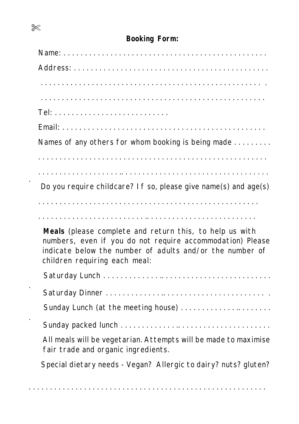# **Booking Form:**

| Names of any others for whom booking is being made                                                                                                                                                                |
|-------------------------------------------------------------------------------------------------------------------------------------------------------------------------------------------------------------------|
|                                                                                                                                                                                                                   |
|                                                                                                                                                                                                                   |
| Do you require childcare? I f so, please give name(s) and age(s)                                                                                                                                                  |
|                                                                                                                                                                                                                   |
|                                                                                                                                                                                                                   |
| Meals (please complete and return this, to help us with<br>numbers, even if you do not require accommodation) Please<br>indicate below the number of adults and/or the number of<br>children requiring each meal: |
|                                                                                                                                                                                                                   |
|                                                                                                                                                                                                                   |
| Sunday Lunch (at the meeting house)                                                                                                                                                                               |
|                                                                                                                                                                                                                   |
| All meals will be vegetarian. Attempts will be made to maximise<br>fair trade and organic ingredients.                                                                                                            |
| Special dietary needs - Vegan? Allergic to dairy? nuts? gluten?                                                                                                                                                   |
|                                                                                                                                                                                                                   |

. . . . . . . . . . . . . . . . . . . . . . . . . . . . . . . . . . . . . . . . . . . . . . . . . . . . . . . .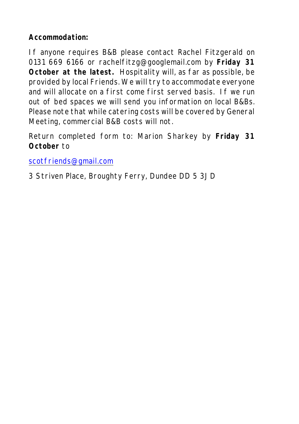**Accommodation:**

If anyone requires B&B please contact Rachel Fitzgerald on 0131 669 6166 or rachelfitzg@googlemail.com by **Friday 31 October at the latest.** Hospitality will, as far as possible, be provided by local Friends. We will try to accommodate everyone and will allocate on a first come first served basis. If we run out of bed spaces we will send you information on local B&Bs. Please note that while catering costs will be covered by General Meeting, commercial B&B costs will not.

Return completed form to: Marion Sharkey by **Friday 31 October** to

[scotfriends@gmail.com](mailto:scotfriends@gmail.com)

3 Striven Place, Broughty Ferry, Dundee DD 5 3JD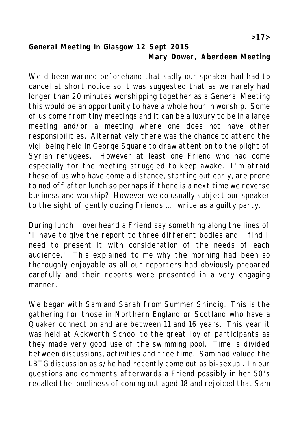**General Meeting in Glasgow 12 Sept 2015 Mary Dower, Aberdeen Meeting**

We'd been warned beforehand that sadly our speaker had had to cancel at short notice so it was suggested that as we rarely had longer than 20 minutes worshipping together as a General Meeting this would be an opportunity to have a whole hour in worship. Some of us come from tiny meetings and it can be a luxury to be in a large meeting and/or a meeting where one does not have other responsibilities. Alternatively there was the chance to attend the vigil being held in George Square to draw attention to the plight of Syrian refugees. However at least one Friend who had come especially for the meeting struggled to keep awake. I'm afraid those of us who have come a distance, starting out early, are prone to nod off after lunch so perhaps if there is a next time we reverse business and worship? However we do usually subject our speaker to the sight of gently dozing Friends …I write as a guilty party.

During lunch I overheard a Friend say something along the lines of "I have to give the report to three different bodies and I find I need to present it with consideration of the needs of each audience." This explained to me why the morning had been so thoroughly enjoyable as all our reporters had obviously prepared carefully and their reports were presented in a very engaging manner.

We began with Sam and Sarah from Summer Shindig. This is the gathering for those in Northern England or Scotland who have a Quaker connection and are between 11 and 16 years. This year it was held at Ackworth School to the great joy of participants as they made very good use of the swimming pool. Time is divided between discussions, activities and free time. Sam had valued the LBTG discussion as s/he had recently come out as bi-sexual. In our questions and comments afterwards a Friend possibly in her 50's recalled the loneliness of coming out aged 18 and rejoiced that Sam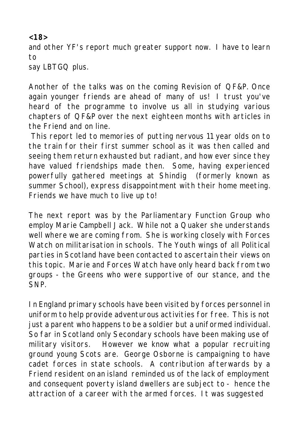**<18>** and other YF's report much greater support now. I have to learn to say LBTGQ plus.

Another of the talks was on the coming Revision of QF&P. Once again younger friends are ahead of many of us! I trust you've heard of the programme to involve us all in studying various chapters of QF&P over the next eighteen months with articles in the Friend and on line.

 This report led to memories of putting nervous 11 year olds on to the train for their first summer school as it was then called and seeing them return exhausted but radiant, and how ever since they have valued friendships made then. Some, having experienced powerfully gathered meetings at Shindig (formerly known as summer School), express disappointment with their home meeting. Friends we have much to live up to!

The next report was by the Parliamentary Function Group who employ Marie Campbell Jack. While not a Quaker she understands well where we are coming from. She is working closely with Forces Watch on militarisation in schools. The Youth wings of all Political parties in Scotland have been contacted to ascertain their views on this topic. Marie and Forces Watch have only heard back from two groups - the Greens who were supportive of our stance, and the SNP.

In England primary schools have been visited by forces personnel in uniform to help provide adventurous activities for free. This is not just a parent who happens to be a soldier but a uniformed individual. So far in Scotland only Secondary schools have been making use of military visitors. However we know what a popular recruiting ground young Scots are. George Osborne is campaigning to have cadet forces in state schools. A contribution afterwards by a Friend resident on an island reminded us of the lack of employment and consequent poverty island dwellers are subject to - hence the attraction of a career with the armed forces. It was suggested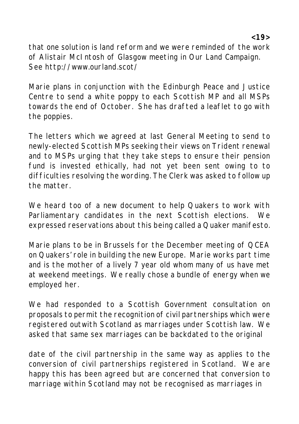that one solution is land reform and we were reminded of the work of Alistair McIntosh of Glasgow meeting in Our Land Campaign. See http://www.ourland.scot/

Marie plans in conjunction with the Edinburgh Peace and Justice Centre to send a white poppy to each Scottish MP and all MSPs towards the end of October. She has drafted a leaflet to go with the poppies.

The letters which we agreed at last General Meeting to send to newly-elected Scottish MPs seeking their views on Trident renewal and to MSPs urging that they take steps to ensure their pension fund is invested ethically, had not yet been sent owing to to difficulties resolving the wording. The Clerk was asked to follow up the matter.

We heard too of a new document to help Quakers to work with Parliamentary candidates in the next Scottish elections. We expressed reservations about this being called a Quaker manifesto.

Marie plans to be in Brussels for the December meeting of QCEA on Quakers' role in building the new Europe. Marie works part time and is the mother of a lively 7 year old whom many of us have met at weekend meetings. We really chose a bundle of energy when we employed her.

We had responded to a Scottish Government consultation on proposals to permit the recognition of civil partnerships which were registered outwith Scotland as marriages under Scottish law. We asked that same sex marriages can be backdated to the original

date of the civil partnership in the same way as applies to the conversion of civil partnerships registered in Scotland. We are happy this has been agreed but are concerned that conversion to marriage within Scotland may not be recognised as marriages in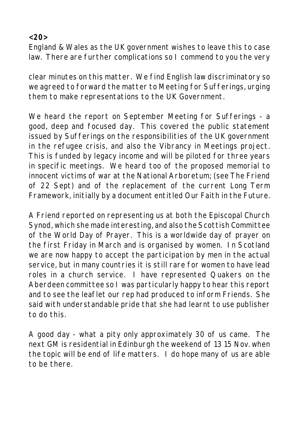**<20>**

England & Wales as the UK government wishes to leave this to case law. There are further complications so I commend to you the very

clear minutes on this matter. We find English law discriminatory so we agreed to forward the matter to Meeting for Sufferings, urging them to make representations to the UK Government.

We heard the report on September Meeting for Sufferings - a good, deep and focused day. This covered the public statement issued by Sufferings on the responsibilities of the UK government in the refugee crisis, and also the Vibrancy in Meetings project. This is funded by legacy income and will be piloted for three years in specific meetings. We heard too of the proposed memorial to innocent victims of war at the National Arboretum; (see The Friend of 22 Sept) and of the replacement of the current Long Term Framework, initially by a document entitled Our Faith in the Future.

A Friend reported on representing us at both the Episcopal Church Synod, which she made interesting, and also the Scottish Committee of the World Day of Prayer. This is a worldwide day of prayer on the first Friday in March and is organised by women. In Scotland we are now happy to accept the participation by men in the actual service, but in many countries it is still rare for women to have lead roles in a church service. I have represented Quakers on the Aberdeen committee so I was particularly happy to hear this report and to see the leaflet our rep had produced to inform Friends. She said with understandable pride that she had learnt to use publisher to do this.

A good day - what a pity only approximately 30 of us came. The next GM is residential in Edinburgh the weekend of 13 15 Nov. when the topic will be end of life matters. I do hope many of us are able to be there.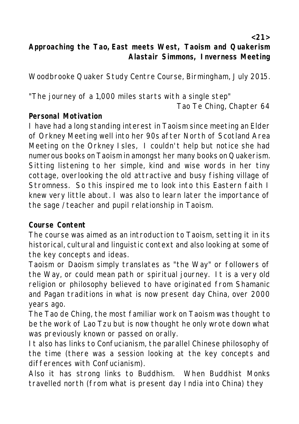**<21>**

**Approaching the Tao, East meets West, Taoism and Quakerism Alastair Simmons, Inverness Meeting**

Woodbrooke Quaker Study Centre Course, Birmingham, July 2015.

"The journey of a 1,000 miles starts with a single step"

Tao Te Ching, Chapter 64

# **Personal Motivation**

I have had a long standing interest in Taoism since meeting an Elder of Orkney Meeting well into her 90s after North of Scotland Area Meeting on the Orkney Isles, I couldn't help but notice she had numerous books on Taoism in amongst her many books on Quakerism. Sitting listening to her simple, kind and wise words in her tiny cottage, overlooking the old attractive and busy fishing village of Stromness. So this inspired me to look into this Eastern faith I knew very little about. I was also to learn later the importance of the sage /teacher and pupil relationship in Taoism.

# **Course Content**

The course was aimed as an introduction to Taoism, setting it in its historical, cultural and linguistic context and also looking at some of the key concepts and ideas.

Taoism or Daoism simply translates as "the Way" or followers of the Way, or could mean path or spiritual journey. It is a very old religion or philosophy believed to have originated from Shamanic and Pagan traditions in what is now present day China, over 2000 years ago.

The Tao de Ching, the most familiar work on Taoism was thought to be the work of Lao Tzu but is now thought he only wrote down what was previously known or passed on orally.

It also has links to Confucianism, the parallel Chinese philosophy of the time (there was a session looking at the key concepts and differences with Confucianism).

Also it has strong links to Buddhism. When Buddhist Monks travelled north (from what is present day India into China) they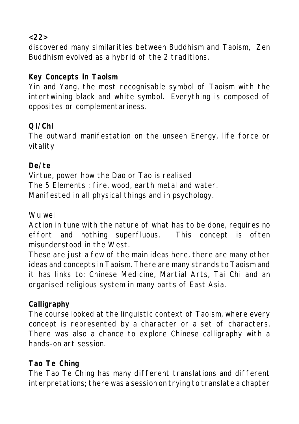**<22>**

discovered many similarities between Buddhism and Taoism, Zen Buddhism evolved as a hybrid of the 2 traditions.

# **Key Concepts in Taoism**

Yin and Yang, the most recognisable symbol of Taoism with the intertwining black and white symbol. Everything is composed of opposites or complementariness.

#### **Qi/Chi**

The outward manifestation on the unseen Energy, life force or vitality

#### **De/te**

Virtue, power how the Dao or Tao is realised The 5 Elements : fire, wood, earth metal and water. Manifested in all physical things and in psychology.

#### Wu wei

Action in tune with the nature of what has to be done, requires no effort and nothing superfluous. This concept is often misunderstood in the West.

These are just a few of the main ideas here, there are many other ideas and concepts in Taoism. There are many strands to Taoism and it has links to: Chinese Medicine, Martial Arts, Tai Chi and an organised religious system in many parts of East Asia.

# **Calligraphy**

The course looked at the linguistic context of Taoism, where every concept is represented by a character or a set of characters. There was also a chance to explore Chinese calligraphy with a hands-on art session.

# **Tao Te Ching**

The Tao Te Ching has many different translations and different interpretations; there was a session on trying to translate a chapter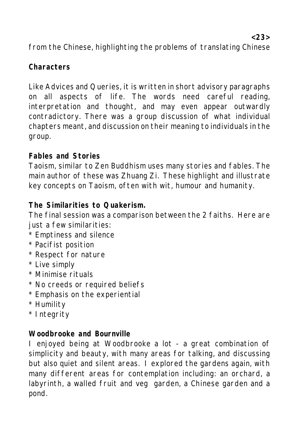**<23>**

from the Chinese, highlighting the problems of translating Chinese

# **Characters**

Like Advices and Queries, it is written in short advisory paragraphs on all aspects of life. The words need careful reading, interpretation and thought, and may even appear outwardly contradictory. There was a group discussion of what individual chapters meant, and discussion on their meaning to individuals in the group.

# **Fables and Stories**

Taoism, similar to Zen Buddhism uses many stories and fables. The main author of these was Zhuang Zi. These highlight and illustrate key concepts on Taoism, often with wit, humour and humanity.

**The Similarities to Quakerism.**

The final session was a comparison between the 2 faiths. Here are just a few similarities:

- \* Emptiness and silence
- \* Pacifist position
- \* Respect for nature
- \* Live simply
- \* Minimise rituals
- \* No creeds or required beliefs
- \* Emphasis on the experiential
- \* Humility
- \* Integrity

**Woodbrooke and Bournville**

I enjoyed being at Woodbrooke a lot - a great combination of simplicity and beauty, with many areas for talking, and discussing but also quiet and silent areas. I explored the gardens again, with many different areas for contemplation including: an orchard, a labyrinth, a walled fruit and veg garden, a Chinese garden and a pond.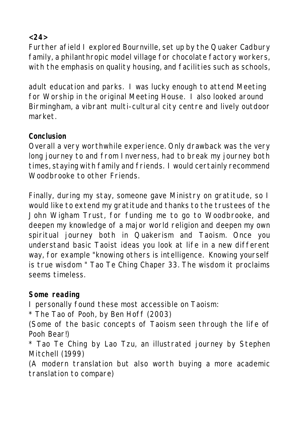**<24>**

Further afield I explored Bournville, set up by the Quaker Cadbury family, a philanthropic model village for chocolate factory workers, with the emphasis on quality housing, and facilities such as schools,

adult education and parks. I was lucky enough to attend Meeting for Worship in the original Meeting House. I also looked around Birmingham, a vibrant multi-cultural city centre and lively outdoor market.

**Conclusion**

Overall a very worthwhile experience. Only drawback was the very long journey to and from Inverness, had to break my journey both times, staying with family and friends. I would certainly recommend Woodbrooke to other Friends.

Finally, during my stay, someone gave Ministry on gratitude, so I would like to extend my gratitude and thanks to the trustees of the John Wigham Trust, for funding me to go to Woodbrooke, and deepen my knowledge of a major world religion and deepen my own spiritual journey both in Quakerism and Taoism. Once you understand basic Taoist ideas you look at life in a new different way, for example "knowing others is intelligence. Knowing yourself is true wisdom " Tao Te Ching Chaper 33. The wisdom it proclaims seems timeless.

**Some reading**

I personally found these most accessible on Taoism:

\* The Tao of Pooh, by Ben Hoff (2003)

(Some of the basic concepts of Taoism seen through the life of Pooh Bear!)

\* Tao Te Ching by Lao Tzu, an illustrated journey by Stephen Mitchell (1999)

(A modern translation but also worth buying a more academic translation to compare)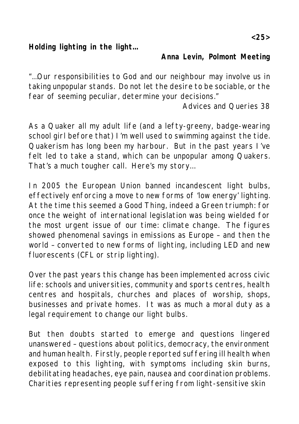**Holding lighting in the light…**

**Anna Levin, Polmont Meeting**

*"…Our responsibilities to God and our neighbour may involve us in taking unpopular stands. Do not let the desire to be sociable, or the fear of seeming peculiar, determine your decisions."*

Advices and Queries 38

As a Quaker all my adult life (and a lefty-greeny, badge-wearing school girl before that) I'm well used to swimming against the tide. Quakerism has long been my harbour. But in the past years I've felt led to take a stand, which can be unpopular among Quakers. That's a much tougher call. Here's my story…

In 2005 the European Union banned incandescent light bulbs, effectively enforcing a move to new forms of 'low energy' lighting. At the time this seemed a Good Thing, indeed a Green triumph: for once the weight of international legislation was being wielded for the most urgent issue of our time: climate change. The figures showed phenomenal savings in emissions as Europe – and then the world – converted to new forms of lighting, including LED and new fluorescents (CFL or strip lighting).

Over the past years this change has been implemented across civic life: schools and universities, community and sports centres, health centres and hospitals, churches and places of worship, shops, businesses and private homes. It was as much a moral duty as a legal requirement to change our light bulbs.

But then doubts started to emerge and questions lingered unanswered – questions about politics, democracy, the environment and human health. Firstly, people reported suffering ill health when exposed to this lighting, with symptoms including skin burns, debilitating headaches, eye pain, nausea and coordination problems. Charities representing people suffering from light-sensitive skin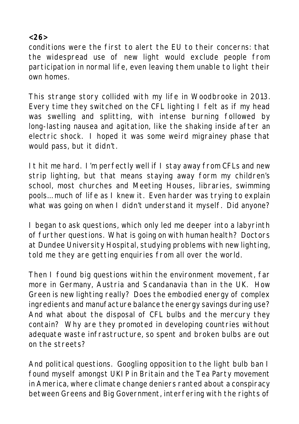#### **<26>**

conditions were the first to alert the EU to their concerns: that the widespread use of new light would exclude people from participation in normal life, even leaving them unable to light their own homes.

This strange story collided with my life in Woodbrooke in 2013. Every time they switched on the CFL lighting I felt as if my head was swelling and splitting, with intense burning followed by long-lasting nausea and agitation, like the shaking inside after an electric shock. I hoped it was some weird migrainey phase that would pass, but it didn't.

It hit me hard. I'm perfectly well if I stay away from CFLs and new strip lighting, but that means staying away form my children's school, most churches and Meeting Houses, libraries, swimming pools… much of life as I knew it. Even harder was trying to explain what was going on when I didn't understand it myself. Did anyone?

I began to ask questions, which only led me deeper into a labyrinth of further questions. What is going on with human health? Doctors at Dundee University Hospital, studying problems with new lighting, told me they are getting enquiries from all over the world.

Then I found big questions within the environment movement, far more in Germany, Austria and Scandanavia than in the UK. How Green is new lighting really? Does the embodied energy of complex ingredients and manufacture balance the energy savings during use? And what about the disposal of CFL bulbs and the mercury they contain? Why are they promoted in developing countries without adequate waste infrastructure, so spent and broken bulbs are out on the streets?

And political questions. Googling opposition to the light bulb ban I found myself amongst UKIP in Britain and the Tea Party movement in America, where climate change deniers ranted about a conspiracy between Greens and Big Government, interfering with the rights of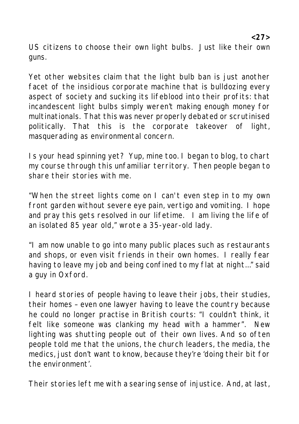US citizens to choose their own light bulbs. Just like their own guns.

Yet other websites claim that the light bulb ban is just another facet of the insidious corporate machine that is bulldozing every aspect of society and sucking its lifeblood into their profits: that incandescent light bulbs simply weren't making enough money for multinationals. That this was never properly debated or scrutinised politically. That this is the corporate takeover of light, masquerading as environmental concern.

Is your head spinning yet? Yup, mine too. I began to blog, to chart my course through this unfamiliar territory. Then people began to share their stories with me.

"When the street lights come on I can't even step in to my own front garden without severe eye pain, vertigo and vomiting. I hope and pray this gets resolved in our lifetime. I am living the life of an isolated 85 year old," wrote a 35-year-old lady.

"I am now unable to go into many public places such as restaurants and shops, or even visit friends in their own homes. I really fear having to leave my job and being confined to my flat at night…" said a guy in Oxford.

I heard stories of people having to leave their jobs, their studies, their homes – even one lawyer having to leave the country because he could no longer practise in British courts: "I couldn't think, it felt like someone was clanking my head with a hammer". New lighting was shutting people out of their own lives. And so often people told me that the unions, the church leaders, the media, the medics, just don't want to know, because they're 'doing their bit for the environment'.

Their stories left me with a searing sense of injustice. And, at last,